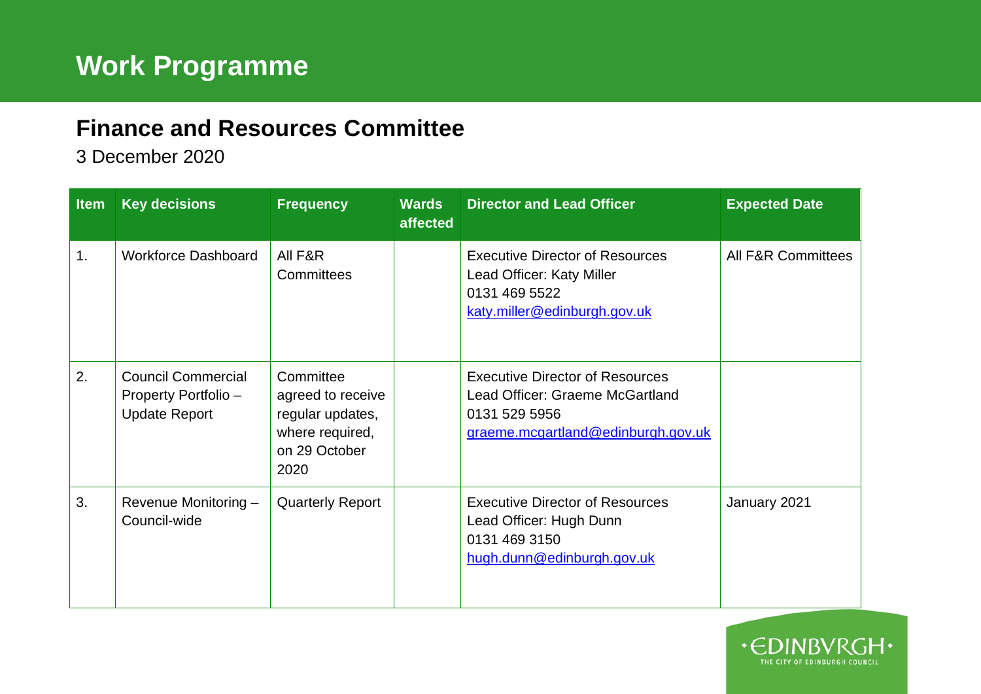## **Finance and Resources Committee**

3 December 2020

| <b>Item</b> | <b>Key decisions</b>                                                      | <b>Frequency</b>                                                                               | <b>Wards</b><br>affected | <b>Director and Lead Officer</b>                                                                                                 | <b>Expected Date</b>          |
|-------------|---------------------------------------------------------------------------|------------------------------------------------------------------------------------------------|--------------------------|----------------------------------------------------------------------------------------------------------------------------------|-------------------------------|
| 1.          | <b>Workforce Dashboard</b>                                                | All F&R<br>Committees                                                                          |                          | <b>Executive Director of Resources</b><br>Lead Officer: Katy Miller<br>0131 469 5522<br>katy.miller@edinburgh.gov.uk             | <b>All F&amp;R Committees</b> |
| 2.          | <b>Council Commercial</b><br>Property Portfolio -<br><b>Update Report</b> | Committee<br>agreed to receive<br>regular updates,<br>where required,<br>on 29 October<br>2020 |                          | <b>Executive Director of Resources</b><br>Lead Officer: Graeme McGartland<br>0131 529 5956<br>graeme.mcgartland@edinburgh.gov.uk |                               |
| 3.          | Revenue Monitoring -<br>Council-wide                                      | <b>Quarterly Report</b>                                                                        |                          | <b>Executive Director of Resources</b><br>Lead Officer: Hugh Dunn<br>0131 469 3150<br>hugh.dunn@edinburgh.gov.uk                 | January 2021                  |

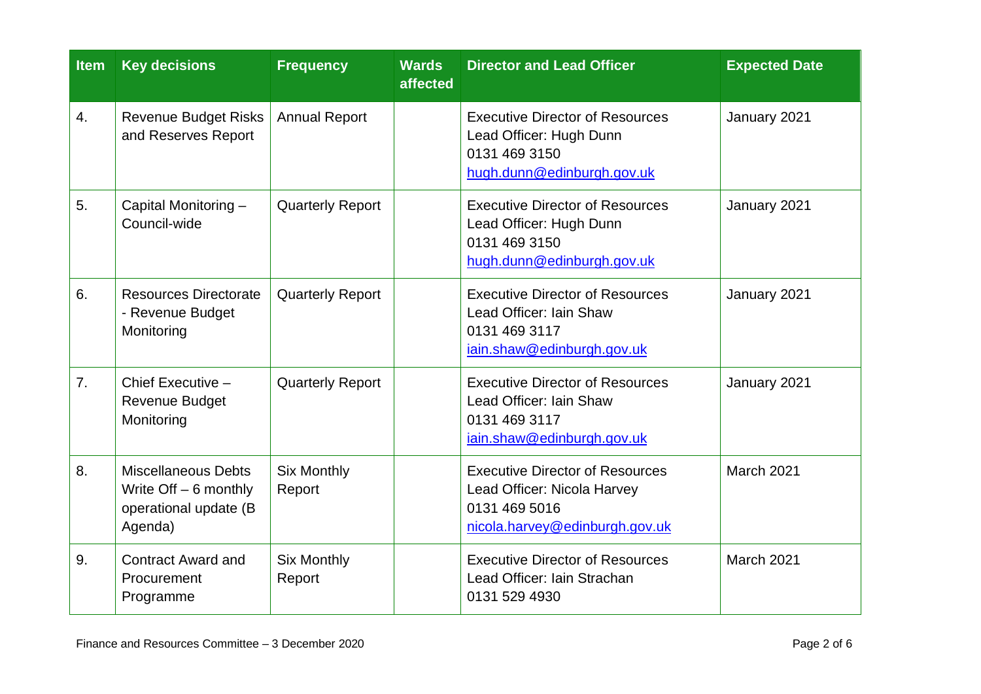| <b>Item</b>    | <b>Key decisions</b>                                                                      | <b>Frequency</b>             | <b>Wards</b><br>affected                                                                                         | <b>Director and Lead Officer</b>                                                                                         | <b>Expected Date</b> |
|----------------|-------------------------------------------------------------------------------------------|------------------------------|------------------------------------------------------------------------------------------------------------------|--------------------------------------------------------------------------------------------------------------------------|----------------------|
| 4.             | <b>Revenue Budget Risks</b><br>and Reserves Report                                        | <b>Annual Report</b>         |                                                                                                                  | <b>Executive Director of Resources</b><br>Lead Officer: Hugh Dunn<br>0131 469 3150<br>hugh.dunn@edinburgh.gov.uk         | January 2021         |
| 5.             | Capital Monitoring -<br>Council-wide                                                      | <b>Quarterly Report</b>      | <b>Executive Director of Resources</b><br>Lead Officer: Hugh Dunn<br>0131 469 3150<br>hugh.dunn@edinburgh.gov.uk |                                                                                                                          | January 2021         |
| 6.             | <b>Resources Directorate</b><br>- Revenue Budget<br>Monitoring                            | <b>Quarterly Report</b>      |                                                                                                                  | <b>Executive Director of Resources</b><br>Lead Officer: Iain Shaw<br>0131 469 3117<br>iain.shaw@edinburgh.gov.uk         | January 2021         |
| 7 <sub>1</sub> | Chief Executive -<br><b>Revenue Budget</b><br>Monitoring                                  | <b>Quarterly Report</b>      |                                                                                                                  | <b>Executive Director of Resources</b><br>Lead Officer: Iain Shaw<br>0131 469 3117<br>iain.shaw@edinburgh.gov.uk         | January 2021         |
| 8.             | <b>Miscellaneous Debts</b><br>Write $Off - 6$ monthly<br>operational update (B<br>Agenda) | <b>Six Monthly</b><br>Report |                                                                                                                  | <b>Executive Director of Resources</b><br>Lead Officer: Nicola Harvey<br>0131 469 5016<br>nicola.harvey@edinburgh.gov.uk | March 2021           |
| 9.             | <b>Contract Award and</b><br>Procurement<br>Programme                                     | <b>Six Monthly</b><br>Report |                                                                                                                  | <b>Executive Director of Resources</b><br>Lead Officer: Iain Strachan<br>0131 529 4930                                   | March 2021           |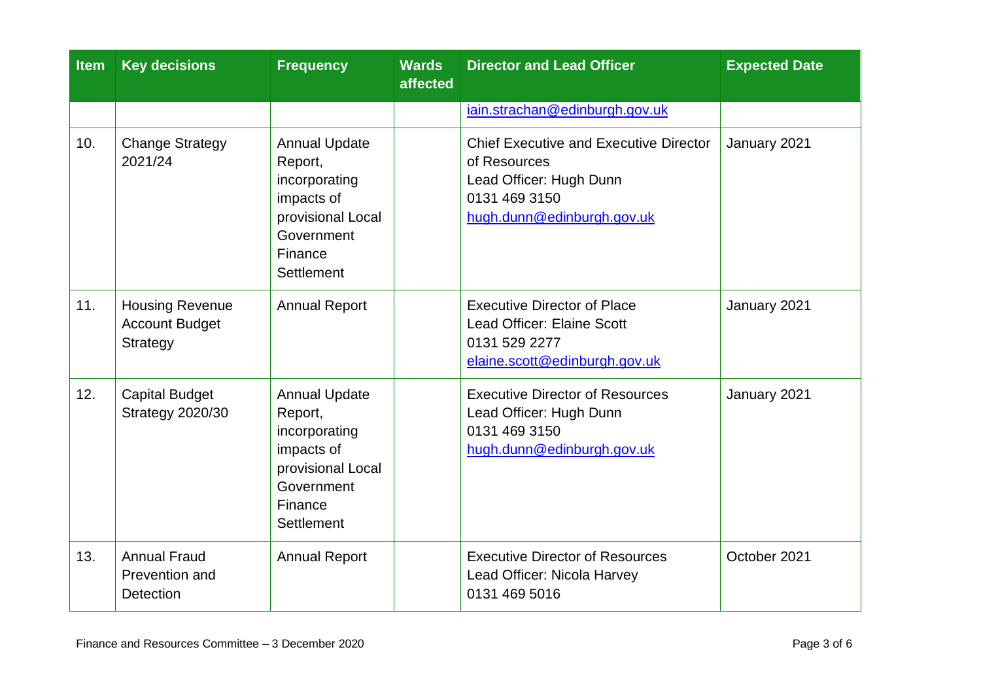| <b>Item</b> | <b>Key decisions</b>                                        | <b>Frequency</b>                                                                                                                  | <b>Wards</b><br>affected | <b>Director and Lead Officer</b>                                                                                                        | <b>Expected Date</b> |
|-------------|-------------------------------------------------------------|-----------------------------------------------------------------------------------------------------------------------------------|--------------------------|-----------------------------------------------------------------------------------------------------------------------------------------|----------------------|
|             |                                                             |                                                                                                                                   |                          | iain.strachan@edinburgh.gov.uk                                                                                                          |                      |
| 10.         | <b>Change Strategy</b><br>2021/24                           | <b>Annual Update</b><br>Report,<br>incorporating<br>impacts of<br>provisional Local<br>Government<br>Finance<br>Settlement        |                          | <b>Chief Executive and Executive Director</b><br>of Resources<br>Lead Officer: Hugh Dunn<br>0131 469 3150<br>hugh.dunn@edinburgh.gov.uk | January 2021         |
| 11.         | <b>Housing Revenue</b><br><b>Account Budget</b><br>Strategy | <b>Annual Report</b>                                                                                                              |                          | <b>Executive Director of Place</b><br><b>Lead Officer: Elaine Scott</b><br>0131 529 2277<br>elaine.scott@edinburgh.gov.uk               | January 2021         |
| 12.         | <b>Capital Budget</b><br><b>Strategy 2020/30</b>            | <b>Annual Update</b><br>Report,<br>incorporating<br>impacts of<br>provisional Local<br>Government<br>Finance<br><b>Settlement</b> |                          | <b>Executive Director of Resources</b><br>Lead Officer: Hugh Dunn<br>0131 469 3150<br>hugh.dunn@edinburgh.gov.uk                        | January 2021         |
| 13.         | <b>Annual Fraud</b><br>Prevention and<br><b>Detection</b>   | <b>Annual Report</b>                                                                                                              |                          | <b>Executive Director of Resources</b><br>Lead Officer: Nicola Harvey<br>0131 469 5016                                                  | October 2021         |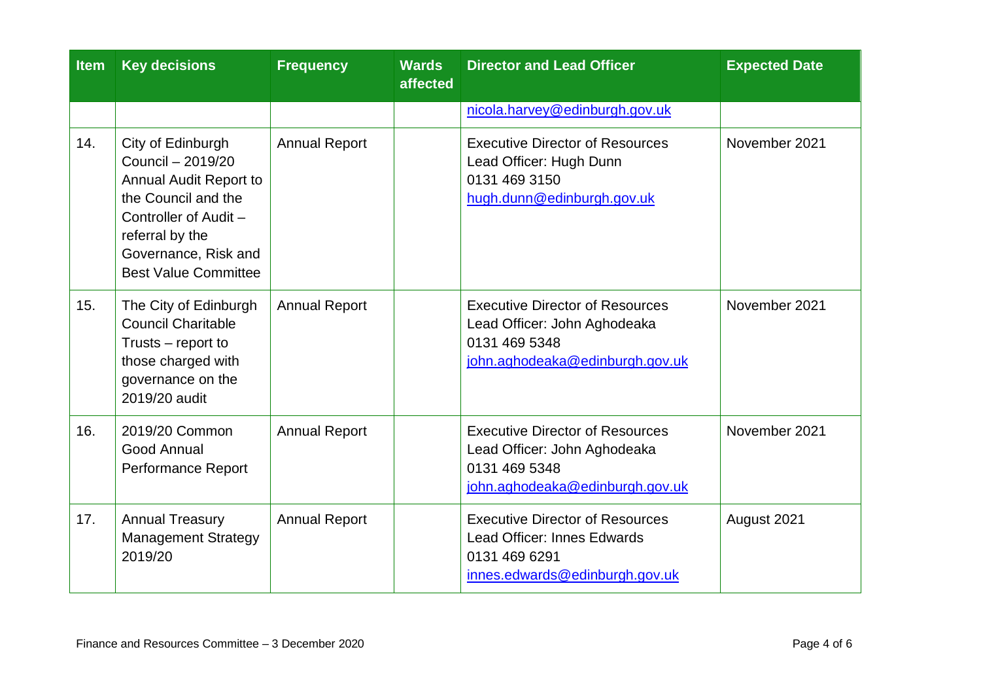| <b>Item</b> | <b>Key decisions</b>                                                                                                                                                                       | <b>Frequency</b>     | <b>Wards</b><br>affected | <b>Director and Lead Officer</b>                                                                                           | <b>Expected Date</b> |
|-------------|--------------------------------------------------------------------------------------------------------------------------------------------------------------------------------------------|----------------------|--------------------------|----------------------------------------------------------------------------------------------------------------------------|----------------------|
|             |                                                                                                                                                                                            |                      |                          | nicola.harvey@edinburgh.gov.uk                                                                                             |                      |
| 14.         | City of Edinburgh<br>Council - 2019/20<br>Annual Audit Report to<br>the Council and the<br>Controller of Audit -<br>referral by the<br>Governance, Risk and<br><b>Best Value Committee</b> | <b>Annual Report</b> |                          | <b>Executive Director of Resources</b><br>Lead Officer: Hugh Dunn<br>0131 469 3150<br>hugh.dunn@edinburgh.gov.uk           | November 2021        |
| 15.         | The City of Edinburgh<br><b>Council Charitable</b><br>Trusts – report to<br>those charged with<br>governance on the<br>2019/20 audit                                                       | <b>Annual Report</b> |                          | <b>Executive Director of Resources</b><br>Lead Officer: John Aghodeaka<br>0131 469 5348<br>john.aghodeaka@edinburgh.gov.uk | November 2021        |
| 16.         | 2019/20 Common<br>Good Annual<br>Performance Report                                                                                                                                        | <b>Annual Report</b> |                          | <b>Executive Director of Resources</b><br>Lead Officer: John Aghodeaka<br>0131 469 5348<br>john.aghodeaka@edinburgh.gov.uk | November 2021        |
| 17.         | <b>Annual Treasury</b><br><b>Management Strategy</b><br>2019/20                                                                                                                            | <b>Annual Report</b> |                          | <b>Executive Director of Resources</b><br>Lead Officer: Innes Edwards<br>0131 469 6291<br>innes.edwards@edinburgh.gov.uk   | August 2021          |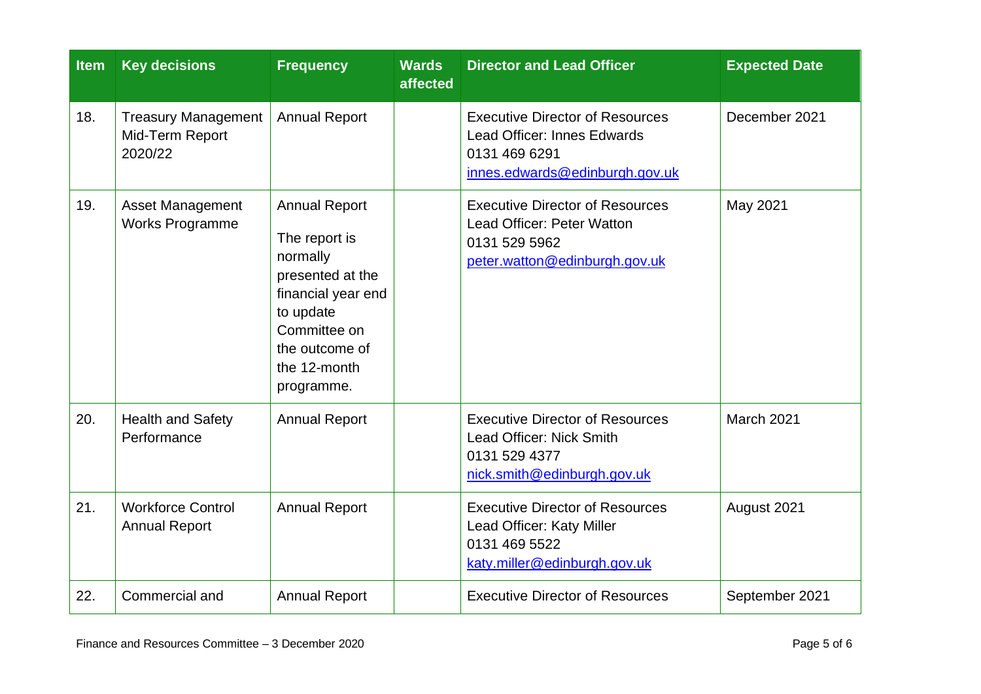| <b>Item</b> | <b>Key decisions</b>                                     | <b>Frequency</b>                                                                                                                                                         | <b>Wards</b><br>affected | <b>Director and Lead Officer</b>                                                                                                | <b>Expected Date</b> |
|-------------|----------------------------------------------------------|--------------------------------------------------------------------------------------------------------------------------------------------------------------------------|--------------------------|---------------------------------------------------------------------------------------------------------------------------------|----------------------|
| 18.         | <b>Treasury Management</b><br>Mid-Term Report<br>2020/22 | <b>Annual Report</b>                                                                                                                                                     |                          | <b>Executive Director of Resources</b><br><b>Lead Officer: Innes Edwards</b><br>0131 469 6291<br>innes.edwards@edinburgh.gov.uk | December 2021        |
| 19.         | <b>Asset Management</b><br><b>Works Programme</b>        | <b>Annual Report</b><br>The report is<br>normally<br>presented at the<br>financial year end<br>to update<br>Committee on<br>the outcome of<br>the 12-month<br>programme. |                          | <b>Executive Director of Resources</b><br>Lead Officer: Peter Watton<br>0131 529 5962<br>peter.watton@edinburgh.gov.uk          | May 2021             |
| 20.         | <b>Health and Safety</b><br>Performance                  | <b>Annual Report</b>                                                                                                                                                     |                          | <b>Executive Director of Resources</b><br>Lead Officer: Nick Smith<br>0131 529 4377<br>nick.smith@edinburgh.gov.uk              | March 2021           |
| 21.         | <b>Workforce Control</b><br><b>Annual Report</b>         | <b>Annual Report</b>                                                                                                                                                     |                          | <b>Executive Director of Resources</b><br>Lead Officer: Katy Miller<br>0131 469 5522<br>katy.miller@edinburgh.gov.uk            | August 2021          |
| 22.         | Commercial and                                           | <b>Annual Report</b>                                                                                                                                                     |                          | <b>Executive Director of Resources</b>                                                                                          | September 2021       |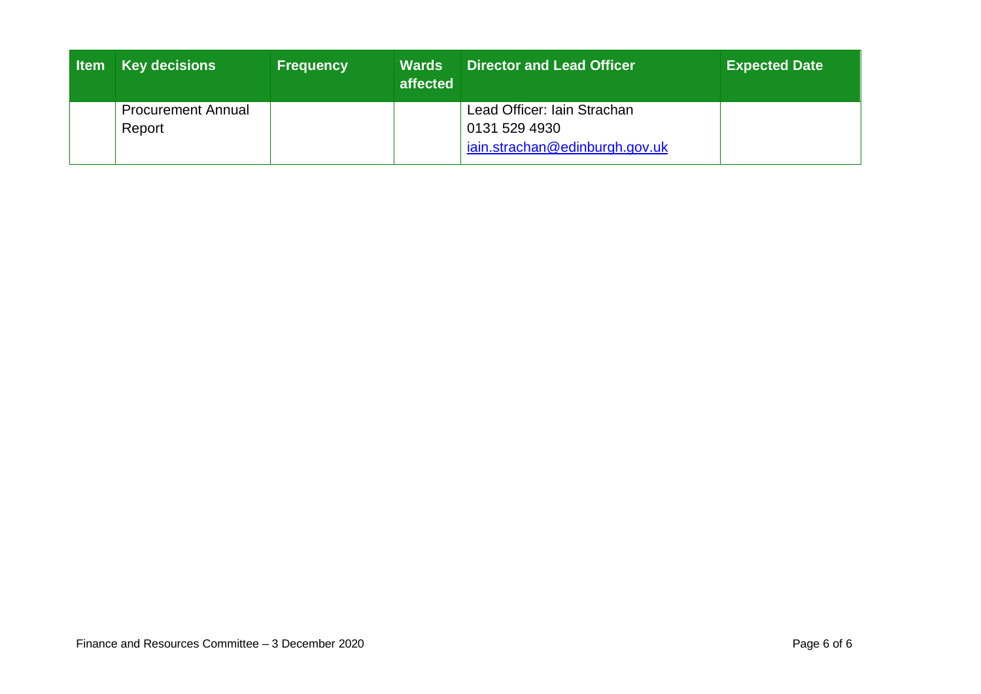| l Item | <b>Key decisions</b>                | <b>Frequency</b> | <b>Wards</b><br>affected | Director and Lead Officer                                                      | <b>Expected Date</b> |
|--------|-------------------------------------|------------------|--------------------------|--------------------------------------------------------------------------------|----------------------|
|        | <b>Procurement Annual</b><br>Report |                  |                          | Lead Officer: Iain Strachan<br>0131 529 4930<br>iain.strachan@edinburgh.gov.uk |                      |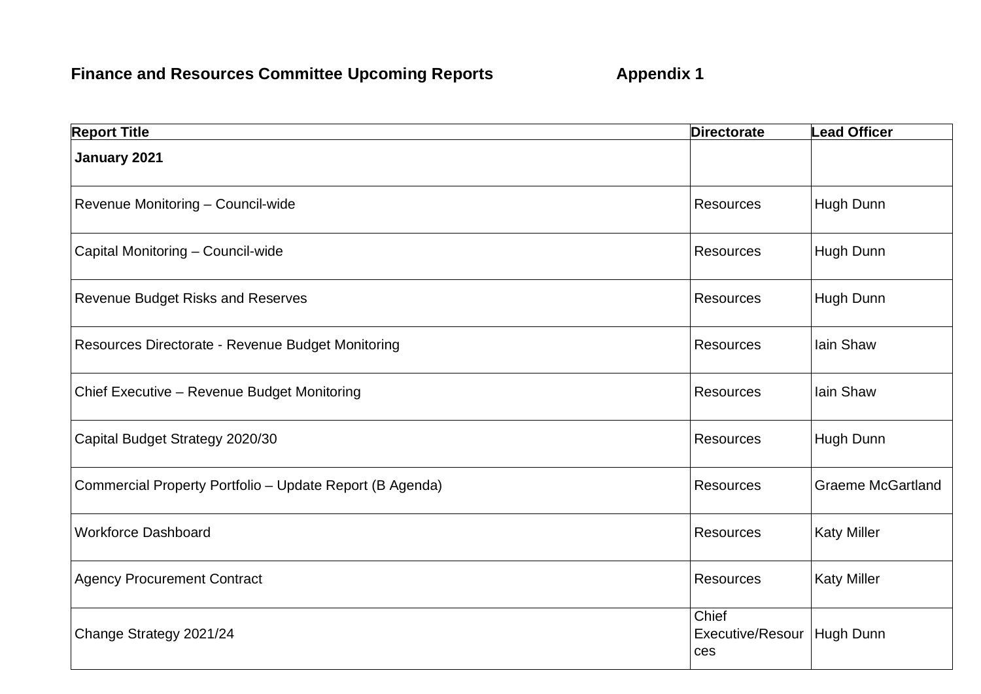## **Finance and Resources Committee Upcoming Reports <b>Appendix 1**

| <b>Report Title</b>                                      | <b>Directorate</b>               | <b>Lead Officer</b>      |
|----------------------------------------------------------|----------------------------------|--------------------------|
| January 2021                                             |                                  |                          |
| Revenue Monitoring - Council-wide                        | <b>Resources</b>                 | Hugh Dunn                |
| Capital Monitoring - Council-wide                        | <b>Resources</b>                 | Hugh Dunn                |
| Revenue Budget Risks and Reserves                        | <b>Resources</b>                 | Hugh Dunn                |
| Resources Directorate - Revenue Budget Monitoring        | <b>Resources</b>                 | Iain Shaw                |
| Chief Executive - Revenue Budget Monitoring              | <b>Resources</b>                 | Iain Shaw                |
| Capital Budget Strategy 2020/30                          | <b>Resources</b>                 | Hugh Dunn                |
| Commercial Property Portfolio - Update Report (B Agenda) | <b>Resources</b>                 | <b>Graeme McGartland</b> |
| <b>Workforce Dashboard</b>                               | Resources                        | <b>Katy Miller</b>       |
| <b>Agency Procurement Contract</b>                       | <b>Resources</b>                 | <b>Katy Miller</b>       |
| Change Strategy 2021/24                                  | Chief<br>Executive/Resour<br>ces | Hugh Dunn                |